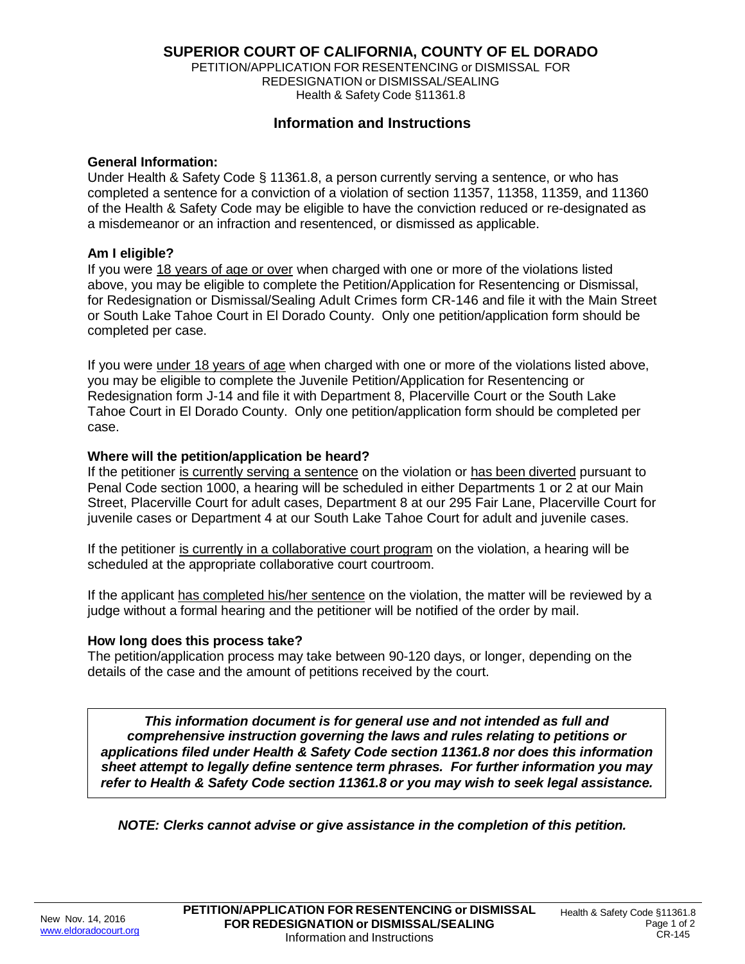# **SUPERIOR COURT OF CALIFORNIA, COUNTY OF EL DORADO**

PETITION/APPLICATION FOR RESENTENCING or DISMISSAL FOR REDESIGNATION or DISMISSAL/SEALING Health & Safety Code §11361.8

# **Information and Instructions**

#### **General Information:**

Under Health & Safety Code § 11361.8, a person currently serving a sentence, or who has completed a sentence for a conviction of a violation of section 11357, 11358, 11359, and 11360 of the Health & Safety Code may be eligible to have the conviction reduced or re-designated as a misdemeanor or an infraction and resentenced, or dismissed as applicable.

### **Am I eligible?**

If you were 18 years of age or over when charged with one or more of the violations listed above, you may be eligible to complete the Petition/Application for Resentencing or Dismissal, for Redesignation or Dismissal/Sealing Adult Crimes form CR-146 and file it with the Main Street or South Lake Tahoe Court in El Dorado County. Only one petition/application form should be completed per case.

If you were under 18 years of age when charged with one or more of the violations listed above, you may be eligible to complete the Juvenile Petition/Application for Resentencing or Redesignation form J-14 and file it with Department 8, Placerville Court or the South Lake Tahoe Court in El Dorado County. Only one petition/application form should be completed per case.

### **Where will the petition/application be heard?**

If the petitioner is currently serving a sentence on the violation or has been diverted pursuant to Penal Code section 1000, a hearing will be scheduled in either Departments 1 or 2 at our Main Street, Placerville Court for adult cases, Department 8 at our 295 Fair Lane, Placerville Court for juvenile cases or Department 4 at our South Lake Tahoe Court for adult and juvenile cases.

If the petitioner is currently in a collaborative court program on the violation, a hearing will be scheduled at the appropriate collaborative court courtroom.

If the applicant has completed his/her sentence on the violation, the matter will be reviewed by a judge without a formal hearing and the petitioner will be notified of the order by mail.

#### **How long does this process take?**

The petition/application process may take between 90-120 days, or longer, depending on the details of the case and the amount of petitions received by the court.

*This information document is for general use and not intended as full and comprehensive instruction governing the laws and rules relating to petitions or applications filed under Health & Safety Code section 11361.8 nor does this information sheet attempt to legally define sentence term phrases. For further information you may refer to Health & Safety Code section 11361.8 or you may wish to seek legal assistance.*

*NOTE: Clerks cannot advise or give assistance in the completion of this petition.*